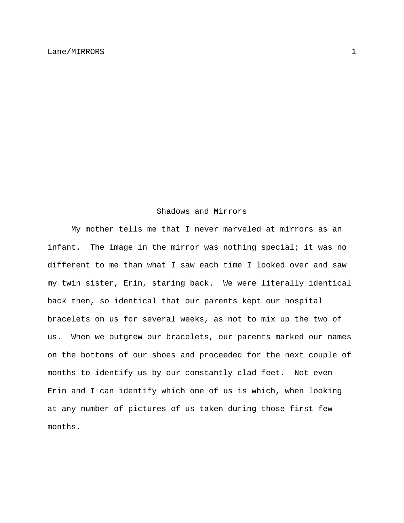## Shadows and Mirrors

 My mother tells me that I never marveled at mirrors as an infant. The image in the mirror was nothing special; it was no different to me than what I saw each time I looked over and saw my twin sister, Erin, staring back. We were literally identical back then, so identical that our parents kept our hospital bracelets on us for several weeks, as not to mix up the two of us. When we outgrew our bracelets, our parents marked our names on the bottoms of our shoes and proceeded for the next couple of months to identify us by our constantly clad feet. Not even Erin and I can identify which one of us is which, when looking at any number of pictures of us taken during those first few months.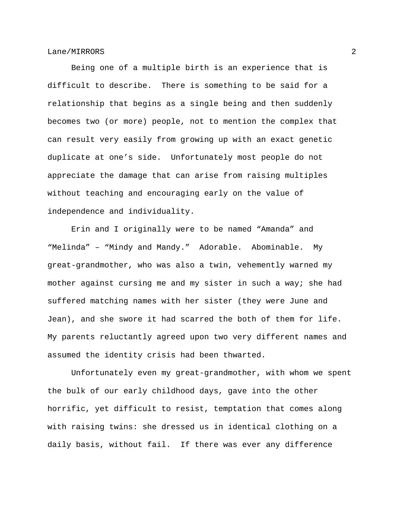Being one of a multiple birth is an experience that is difficult to describe. There is something to be said for a relationship that begins as a single being and then suddenly becomes two (or more) people, not to mention the complex that can result very easily from growing up with an exact genetic duplicate at one's side. Unfortunately most people do not appreciate the damage that can arise from raising multiples without teaching and encouraging early on the value of independence and individuality.

 Erin and I originally were to be named "Amanda" and "Melinda" – "Mindy and Mandy." Adorable. Abominable. My great-grandmother, who was also a twin, vehemently warned my mother against cursing me and my sister in such a way; she had suffered matching names with her sister (they were June and Jean), and she swore it had scarred the both of them for life. My parents reluctantly agreed upon two very different names and assumed the identity crisis had been thwarted.

 Unfortunately even my great-grandmother, with whom we spent the bulk of our early childhood days, gave into the other horrific, yet difficult to resist, temptation that comes along with raising twins: she dressed us in identical clothing on a daily basis, without fail. If there was ever any difference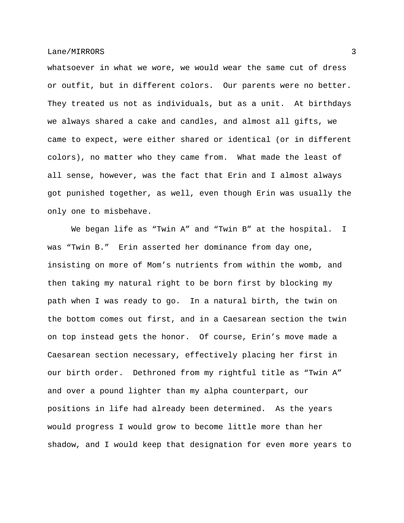whatsoever in what we wore, we would wear the same cut of dress or outfit, but in different colors. Our parents were no better. They treated us not as individuals, but as a unit. At birthdays we always shared a cake and candles, and almost all gifts, we came to expect, were either shared or identical (or in different colors), no matter who they came from. What made the least of all sense, however, was the fact that Erin and I almost always got punished together, as well, even though Erin was usually the only one to misbehave.

 We began life as "Twin A" and "Twin B" at the hospital. I was "Twin B." Erin asserted her dominance from day one, insisting on more of Mom's nutrients from within the womb, and then taking my natural right to be born first by blocking my path when I was ready to go. In a natural birth, the twin on the bottom comes out first, and in a Caesarean section the twin on top instead gets the honor. Of course, Erin's move made a Caesarean section necessary, effectively placing her first in our birth order. Dethroned from my rightful title as "Twin A" and over a pound lighter than my alpha counterpart, our positions in life had already been determined. As the years would progress I would grow to become little more than her shadow, and I would keep that designation for even more years to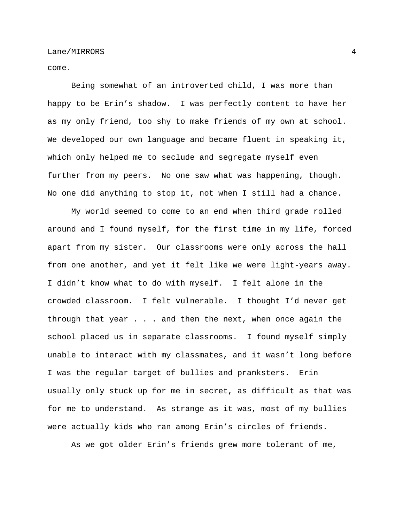come.

 Being somewhat of an introverted child, I was more than happy to be Erin's shadow. I was perfectly content to have her as my only friend, too shy to make friends of my own at school. We developed our own language and became fluent in speaking it, which only helped me to seclude and segregate myself even further from my peers. No one saw what was happening, though. No one did anything to stop it, not when I still had a chance.

 My world seemed to come to an end when third grade rolled around and I found myself, for the first time in my life, forced apart from my sister. Our classrooms were only across the hall from one another, and yet it felt like we were light-years away. I didn't know what to do with myself. I felt alone in the crowded classroom. I felt vulnerable. I thought I'd never get through that year . . . and then the next, when once again the school placed us in separate classrooms. I found myself simply unable to interact with my classmates, and it wasn't long before I was the regular target of bullies and pranksters. Erin usually only stuck up for me in secret, as difficult as that was for me to understand. As strange as it was, most of my bullies were actually kids who ran among Erin's circles of friends.

As we got older Erin's friends grew more tolerant of me,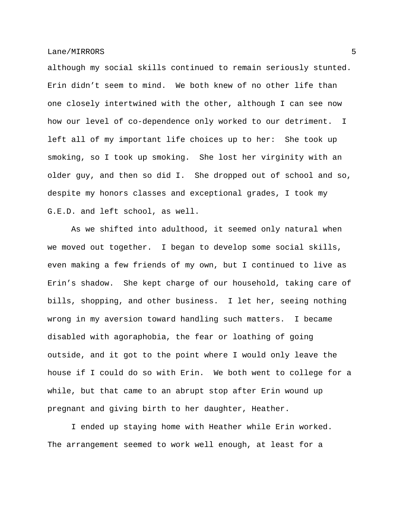although my social skills continued to remain seriously stunted. Erin didn't seem to mind. We both knew of no other life than one closely intertwined with the other, although I can see now how our level of co-dependence only worked to our detriment. I left all of my important life choices up to her: She took up smoking, so I took up smoking. She lost her virginity with an older guy, and then so did I. She dropped out of school and so, despite my honors classes and exceptional grades, I took my G.E.D. and left school, as well.

 As we shifted into adulthood, it seemed only natural when we moved out together. I began to develop some social skills, even making a few friends of my own, but I continued to live as Erin's shadow. She kept charge of our household, taking care of bills, shopping, and other business. I let her, seeing nothing wrong in my aversion toward handling such matters. I became disabled with agoraphobia, the fear or loathing of going outside, and it got to the point where I would only leave the house if I could do so with Erin. We both went to college for a while, but that came to an abrupt stop after Erin wound up pregnant and giving birth to her daughter, Heather.

 I ended up staying home with Heather while Erin worked. The arrangement seemed to work well enough, at least for a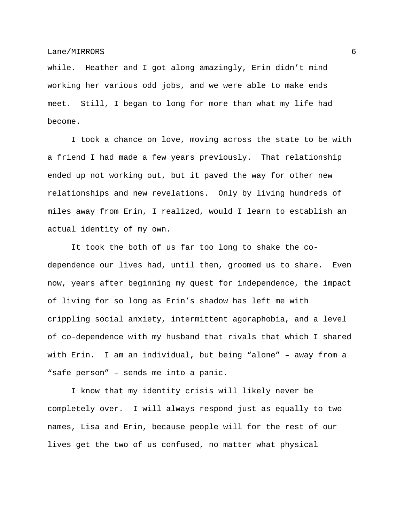while. Heather and I got along amazingly, Erin didn't mind working her various odd jobs, and we were able to make ends meet. Still, I began to long for more than what my life had become.

 I took a chance on love, moving across the state to be with a friend I had made a few years previously. That relationship ended up not working out, but it paved the way for other new relationships and new revelations. Only by living hundreds of miles away from Erin, I realized, would I learn to establish an actual identity of my own.

 It took the both of us far too long to shake the codependence our lives had, until then, groomed us to share. Even now, years after beginning my quest for independence, the impact of living for so long as Erin's shadow has left me with crippling social anxiety, intermittent agoraphobia, and a level of co-dependence with my husband that rivals that which I shared with Erin. I am an individual, but being "alone" – away from a "safe person" – sends me into a panic.

 I know that my identity crisis will likely never be completely over. I will always respond just as equally to two names, Lisa and Erin, because people will for the rest of our lives get the two of us confused, no matter what physical